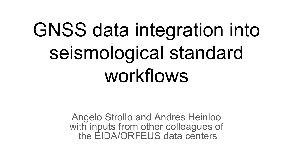# GNSS data integration into seismological standard workflows

Angelo Strollo and Andres Heinloo with inputs from other colleagues of the EIDA/ORFEUS data centers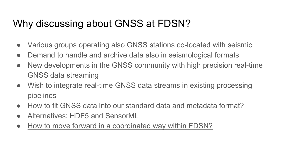## Why discussing about GNSS at FDSN?

- Various groups operating also GNSS stations co-located with seismic
- Demand to handle and archive data also in seismological formats
- New developments in the GNSS community with high precision real-time GNSS data streaming
- Wish to integrate real-time GNSS data streams in existing processing pipelines
- How to fit GNSS data into our standard data and metadata format?
- Alternatives: HDF5 and SensorML
- How to move forward in a coordinated way within FDSN?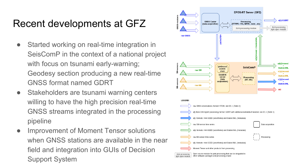## Recent developments at GFZ

- Started working on real-time integration in SeisComP in the context of a national project with focus on tsunami early-warning; Geodesy section producing a new real-time GNSS format named GDRT
- Stakeholders are tsunami warning centers willing to have the high precision real-time GNSS streams integrated in the processing pipeline
- Improvement of Moment Tensor solutions when GNSS stations are available in the near field and integration into GUIs of Decision Support System

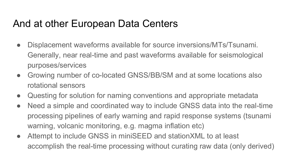## And at other European Data Centers

- Displacement waveforms available for source inversions/MTs/Tsunami. Generally, near real-time and past waveforms available for seismological purposes/services
- Growing number of co-located GNSS/BB/SM and at some locations also rotational sensors
- Questing for solution for naming conventions and appropriate metadata
- Need a simple and coordinated way to include GNSS data into the real-time processing pipelines of early warning and rapid response systems (tsunami warning, volcanic monitoring, e.g. magma inflation etc)
- Attempt to include GNSS in miniSEED and stationXML to at least accomplish the real-time processing without curating raw data (only derived)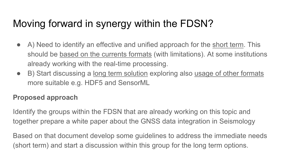# Moving forward in synergy within the FDSN?

- A) Need to identify an effective and unified approach for the short term. This should be based on the currents formats (with limitations). At some institutions already working with the real-time processing.
- B) Start discussing a long term solution exploring also usage of other formats more suitable e.g. HDF5 and SensorML

#### **Proposed approach**

Identify the groups within the FDSN that are already working on this topic and together prepare a white paper about the GNSS data integration in Seismology

Based on that document develop some guidelines to address the immediate needs (short term) and start a discussion within this group for the long term options.